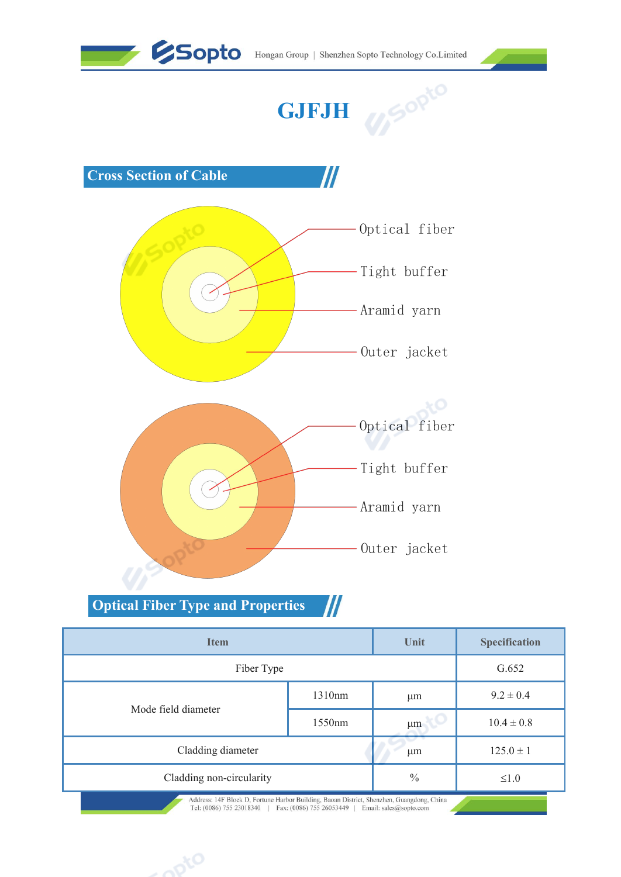







|                                                         |        | Aramıd yarn<br>Outer jacket |                |
|---------------------------------------------------------|--------|-----------------------------|----------------|
| <b>Optical Fiber Type and Properties</b><br><b>Item</b> | $I\!I$ | Unit                        | Specification  |
| Fiber Type                                              |        |                             | G.652          |
|                                                         | 1310nm | $\mu$ m                     | $9.2 \pm 0.4$  |
| Mode field diameter                                     | 1550nm | $\mu$ m                     | $10.4 \pm 0.8$ |
| Cladding diameter                                       |        | $\mu$ m                     | $125.0 \pm 1$  |
| Cladding non-circularity                                |        | $\frac{0}{0}$               | ${\le}1.0$     |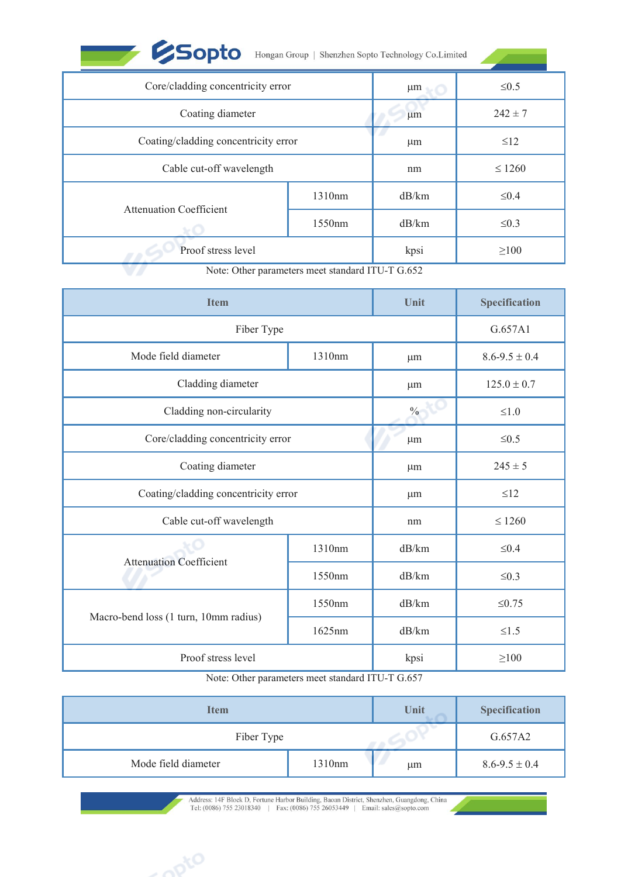| <b>Sopto</b>                         |                                                  | $\,$ Hongan Group $\,$   $\,$ Shenzhen Sopto Technology Co.<br>Limited |                     |
|--------------------------------------|--------------------------------------------------|------------------------------------------------------------------------|---------------------|
| Core/cladding concentricity error    |                                                  | $\mu$ m                                                                | $\leq 0.5$          |
| Coating diameter                     |                                                  | μm                                                                     | $242 \pm 7$         |
| Coating/cladding concentricity error |                                                  | $\mu$ m                                                                | $\leq$ 12           |
| Cable cut-off wavelength             |                                                  | nm                                                                     | $\leq 1260$         |
|                                      | 1310nm                                           | dB/km                                                                  | $\leq 0.4$          |
| <b>Attenuation Coefficient</b>       | 1550nm                                           | dB/km                                                                  | $\leq 0.3$          |
| Proof stress level                   |                                                  | kpsi                                                                   | $\geq$ 100          |
|                                      | Note: Other parameters meet standard ITU-T G.652 |                                                                        |                     |
| <b>Item</b>                          |                                                  | Unit                                                                   | Specification       |
| Fiber Type                           |                                                  |                                                                        | G.657A1             |
| Mode field diameter                  | 1310nm                                           | $\mu$ m                                                                | $8.6 - 9.5 \pm 0.4$ |
| $C(1, 1, 1)$ $1'$ $1'$               |                                                  |                                                                        | 1070107             |

|                                       | 1310nm                                           | dB/km   | $\leq 0.4$           |
|---------------------------------------|--------------------------------------------------|---------|----------------------|
| <b>Attenuation Coefficient</b>        | 1550nm                                           | dB/km   | $\leq 0.3$           |
| Proof stress level                    |                                                  | kpsi    | $\geq 100$           |
|                                       | Note: Other parameters meet standard ITU-T G.652 |         |                      |
| <b>Item</b>                           |                                                  | Unit    | Specification        |
| Fiber Type                            |                                                  |         | G.657A1              |
| Mode field diameter                   | 1310nm                                           | $\mu$ m | $8.6 - 9.5 \pm 0.4$  |
| Cladding diameter                     |                                                  | μm      | $125.0 \pm 0.7$      |
| Cladding non-circularity              |                                                  | $\%$    | ${\le}1.0$           |
| Core/cladding concentricity error     |                                                  | $\mu$ m | $\leq 0.5$           |
| Coating diameter                      |                                                  | $\mu$ m | $245 \pm 5$          |
| Coating/cladding concentricity error  |                                                  | $\mu$ m | $\leq$ 12            |
| Cable cut-off wavelength              |                                                  | nm      | $\leq 1260$          |
|                                       | 1310nm                                           | dB/km   | ${\leq}0.4$          |
| <b>Attenuation Coefficient</b>        | 1550nm                                           | dB/km   | $\leq 0.3$           |
|                                       | 1550nm                                           | dB/km   | $\leq 0.75$          |
| Macro-bend loss (1 turn, 10mm radius) | 1625nm                                           | dB/km   | $\leq1.5$            |
| Proof stress level                    |                                                  | kpsi    | $\geq\!\!100$        |
|                                       | Note: Other parameters meet standard ITU-T G.657 |         |                      |
| <b>Item</b>                           |                                                  | Unit    | <b>Specification</b> |
| Fiber Type                            |                                                  |         | G.657A2              |
| Mode field diameter                   | 1310nm                                           | μm      | $8.6 - 9.5 \pm 0.4$  |

|                                                                                                                                                  | 1550nm                                           | dB/km                  | $\leq 0.75$          |
|--------------------------------------------------------------------------------------------------------------------------------------------------|--------------------------------------------------|------------------------|----------------------|
| Macro-bend loss (1 turn, 10mm radius)                                                                                                            | 1625nm                                           | dB/km                  | $\leq1.5$            |
| Proof stress level                                                                                                                               |                                                  | kpsi                   | $\geq 100$           |
|                                                                                                                                                  | Note: Other parameters meet standard ITU-T G.657 |                        |                      |
| <b>Item</b>                                                                                                                                      |                                                  | Unit                   | <b>Specification</b> |
| Fiber Type                                                                                                                                       |                                                  |                        | G.657A2              |
| Mode field diameter                                                                                                                              | 1310nm                                           | $\mu$ m                | $8.6 - 9.5 \pm 0.4$  |
| Address: 14F Block D, Fortune Harbor Building, Baoan District, Shenzhen, Guangdong, China<br>Tel: (0086) 755 23018340   Fax: (0086) 755 26053449 |                                                  | Email: sales@sopto.com |                      |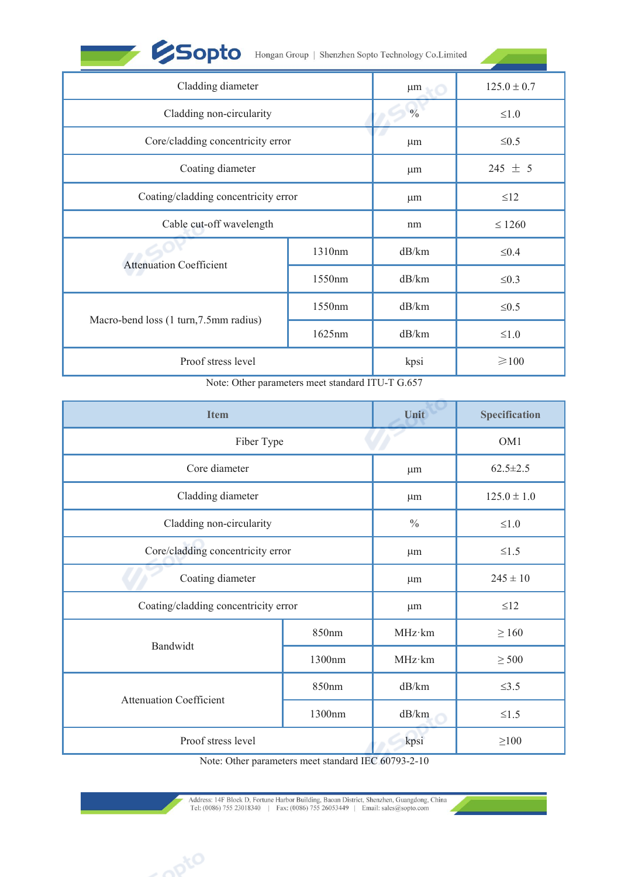| <b>ESopto</b>                                    |        | Hongan Group   Shenzhen Sopto Technology Co.Limited |                      |
|--------------------------------------------------|--------|-----------------------------------------------------|----------------------|
| Cladding diameter                                |        | μm                                                  | $125.0 \pm 0.7$      |
| Cladding non-circularity                         |        | $\frac{0}{0}$                                       | $\leq1.0$            |
| Core/cladding concentricity error                |        | $\mu$ m                                             | $\leq 0.5$           |
| Coating diameter                                 |        | $\mu$ m                                             | 245 $\pm$ 5          |
| Coating/cladding concentricity error             |        | $\mu$ m                                             | $\leq 12$            |
| Cable cut-off wavelength                         |        | nm                                                  | $\leq 1260$          |
|                                                  | 1310nm | dB/km                                               | $\leq 0.4$           |
| <b>Attenuation Coefficient</b>                   | 1550nm | dB/km                                               | $\leq 0.3$           |
|                                                  | 1550nm | dB/km                                               | $\leq 0.5$           |
| Macro-bend loss (1 turn, 7.5mm radius)           | 1625nm | dB/km                                               | $\leq1.0$            |
| Proof stress level                               |        | kpsi                                                | $\geq 100$           |
| Note: Other parameters meet standard ITU-T G.657 |        |                                                     |                      |
| <b>Item</b>                                      |        | Unit                                                | <b>Specification</b> |
|                                                  |        |                                                     |                      |

|                                        | 1550nm                                           | dB/km          | $\leq 0.3$           |
|----------------------------------------|--------------------------------------------------|----------------|----------------------|
|                                        | 1550nm                                           | dB/km          | $\leq 0.5$           |
| Macro-bend loss (1 turn, 7.5mm radius) | 1625nm                                           | dB/km          | $\leq1.0$            |
| Proof stress level                     |                                                  | kpsi           | $\geq 100$           |
|                                        | Note: Other parameters meet standard ITU-T G.657 |                |                      |
| <b>Item</b>                            |                                                  | Unit           | <b>Specification</b> |
| Fiber Type                             |                                                  |                | OM1                  |
| Core diameter                          |                                                  | μm             | $62.5 \pm 2.5$       |
| Cladding diameter                      |                                                  | μm             | $125.0 \pm 1.0$      |
| Cladding non-circularity               |                                                  | $\frac{0}{0}$  | $\leq1.0$            |
| Core/cladding concentricity error      |                                                  | μm             | $\leq1.5$            |
| Coating diameter                       |                                                  | $\mu$ m        | $245 \pm 10$         |
| Coating/cladding concentricity error   |                                                  | μm             | $\leq$ 12            |
|                                        | 850nm                                            | $MHz \cdot km$ | $\geq 160$           |
| Bandwidt                               | 1300nm                                           | MHz·km         | $\geq$ 500           |
|                                        | 850nm                                            | dB/km          | $\leq$ 3.5           |
| <b>Attenuation Coefficient</b>         | 1300nm                                           | dB/km          | $\leq1.5$            |
|                                        |                                                  | kpsi           | $\geq100$            |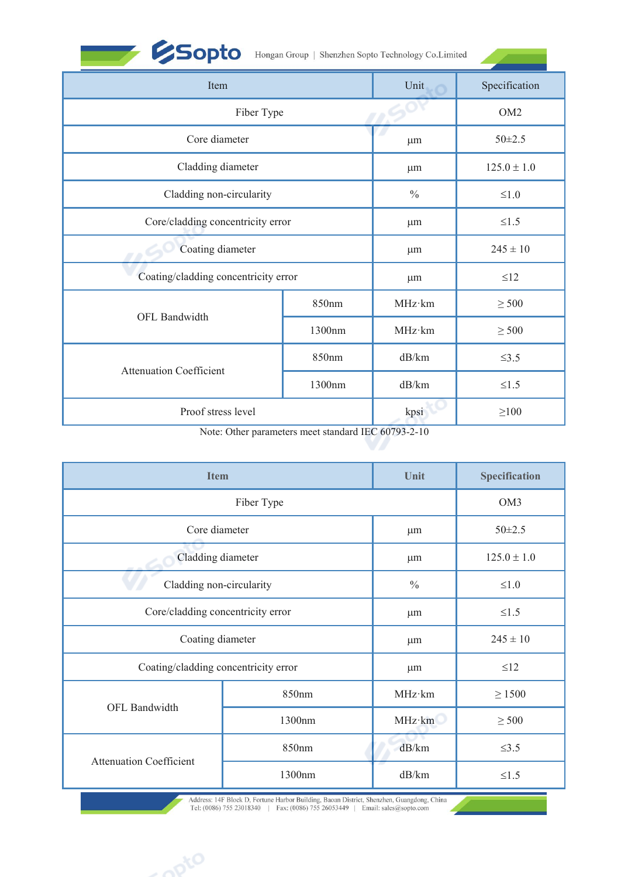|  |  | Hongan Group   Shenzhen Sopto Technology Co.Limited |
|--|--|-----------------------------------------------------|
|--|--|-----------------------------------------------------|

| <b>ESopto</b>                        |        | Hongan Group   Shenzhen Sopto Technology Co.Limited |                 |
|--------------------------------------|--------|-----------------------------------------------------|-----------------|
| Item                                 |        | Unit                                                | Specification   |
| Fiber Type                           |        |                                                     | OM <sub>2</sub> |
| Core diameter                        |        | μm                                                  | $50 \pm 2.5$    |
| Cladding diameter                    |        | $\mu$ m                                             | $125.0 \pm 1.0$ |
| Cladding non-circularity             |        | $\frac{0}{0}$                                       | $\leq 1.0$      |
| Core/cladding concentricity error    |        | $\mu$ m                                             | $\leq1.5$       |
| Coating diameter                     |        | $\mu$ m                                             | $245 \pm 10$    |
| Coating/cladding concentricity error |        | $\mu$ m                                             | $\leq$ 12       |
|                                      | 850nm  | MHz·km                                              | $\geq$ 500      |
| OFL Bandwidth                        | 1300nm | MHz·km                                              | $\geq$ 500      |
|                                      | 850nm  | dB/km                                               | $\leq$ 3.5      |
| <b>Attenuation Coefficient</b>       | 1300nm | dB/km                                               | $\leq1.5$       |
| Proof stress level                   |        | kpsi                                                | $\geq$ 100      |

| <b>Attenuation Coefficient</b>       | 850nm                                               | dB/km          | $\leq$ 3.5           |  |
|--------------------------------------|-----------------------------------------------------|----------------|----------------------|--|
|                                      | 1300nm                                              | dB/km          | $\leq1.5$            |  |
| Proof stress level                   |                                                     | kpsi           | $\geq 100$           |  |
|                                      | Note: Other parameters meet standard IEC 60793-2-10 |                |                      |  |
|                                      |                                                     |                |                      |  |
| <b>Item</b>                          |                                                     | Unit           | <b>Specification</b> |  |
| Fiber Type                           |                                                     |                | OM3                  |  |
| Core diameter                        |                                                     | μm             | $50 \pm 2.5$         |  |
| Cladding diameter                    | $\mu$ m                                             |                | $125.0 \pm 1.0$      |  |
| Cladding non-circularity             |                                                     | $\frac{0}{0}$  | $\leq1.0$            |  |
| Core/cladding concentricity error    |                                                     | $\mu$ m        | $\leq1.5$            |  |
| Coating diameter                     |                                                     | $\mu$ m        | $245 \pm 10$         |  |
| Coating/cladding concentricity error |                                                     | μm             | $\leq$ 12            |  |
|                                      | 850nm                                               | $MHz \cdot km$ | $\geq 1500$          |  |
| OFL Bandwidth                        | 1300nm                                              | MHz·km         | $\geq$ 500           |  |
|                                      | 850nm                                               | dB/km          | $\leq$ 3.5           |  |
| <b>Attenuation Coefficient</b>       | 1300nm                                              | dB/km          | $\leq1.5$            |  |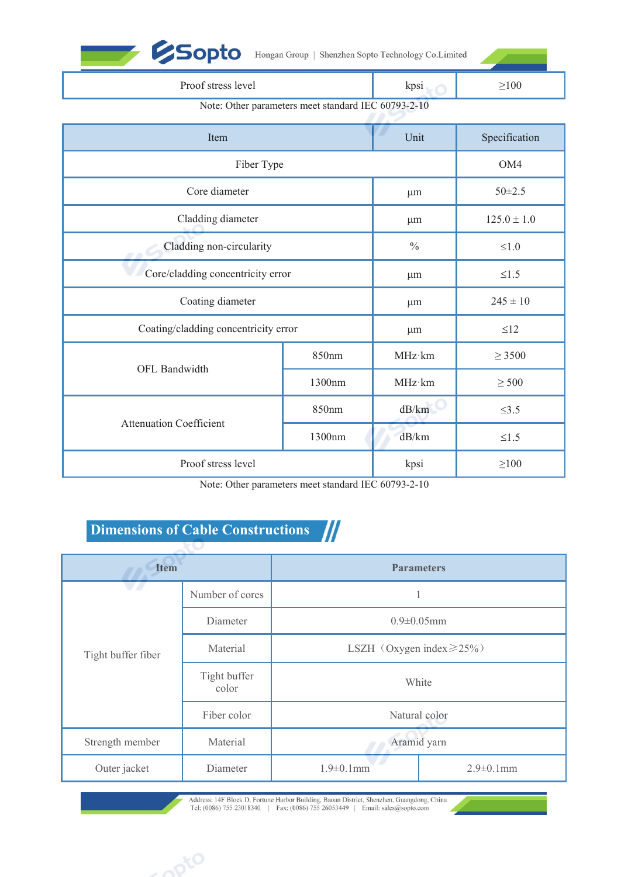|                                      |                                                     | Hongan Group   Shenzhen Sopto Technology Co.Limited |                 |
|--------------------------------------|-----------------------------------------------------|-----------------------------------------------------|-----------------|
| Proof stress level                   | kpsi                                                | $\geq$ 100                                          |                 |
|                                      | Note: Other parameters meet standard IEC 60793-2-10 |                                                     |                 |
| Item                                 |                                                     | Unit                                                | Specification   |
| Fiber Type                           |                                                     | OM4                                                 |                 |
| Core diameter                        | μm                                                  | $50 \pm 2.5$                                        |                 |
| Cladding diameter                    |                                                     | μm                                                  | $125.0 \pm 1.0$ |
| Cladding non-circularity             |                                                     | $\frac{0}{0}$                                       | $\leq1.0$       |
| Core/cladding concentricity error    |                                                     | μm                                                  | $\leq1.5$       |
| Coating diameter                     |                                                     | $\mu$ m                                             | $245 \pm 10$    |
| Coating/cladding concentricity error |                                                     | μm                                                  | $\leq$ 12       |
|                                      | 850nm                                               | MHz·km                                              | $\geq$ 3500     |
| OFL Bandwidth                        | 1300nm                                              | MHz·km                                              | $\geq$ 500      |
|                                      | 850nm                                               | dB/km                                               | $\leq 3.5$      |
| <b>Attenuation Coefficient</b>       | 1300nm                                              | dB/km                                               | ${\le}1.5$      |
| Proof stress level                   |                                                     | kpsi                                                | $\geq$ 100      |
|                                      |                                                     | Note: Other parameters meet standard IEC 60793-2-10 |                 |

|                    |                                   | 1300nm                                              | dB/km             | $\leq1.5$        |  |  |
|--------------------|-----------------------------------|-----------------------------------------------------|-------------------|------------------|--|--|
|                    | Proof stress level                |                                                     | kpsi              | $\geq 100$       |  |  |
|                    |                                   | Note: Other parameters meet standard IEC 60793-2-10 |                   |                  |  |  |
|                    | Dimensions of Cable Constructions |                                                     |                   |                  |  |  |
| <b>Item</b>        |                                   |                                                     | <b>Parameters</b> |                  |  |  |
|                    | Number of cores                   |                                                     |                   |                  |  |  |
|                    | Diameter                          | $0.9 \pm 0.05$ mm                                   |                   |                  |  |  |
| Tight buffer fiber | Material                          | LSZH (Oxygen index $\geq$ 25%)                      |                   |                  |  |  |
|                    | Tight buffer<br>color             | White                                               |                   |                  |  |  |
|                    | Fiber color                       |                                                     | Natural color     |                  |  |  |
| Strength member    | Material                          |                                                     | Aramid yarn       |                  |  |  |
| Outer jacket       | Diameter                          | $1.9 \pm 0.1$ mm                                    |                   | $2.9 \pm 0.1$ mm |  |  |